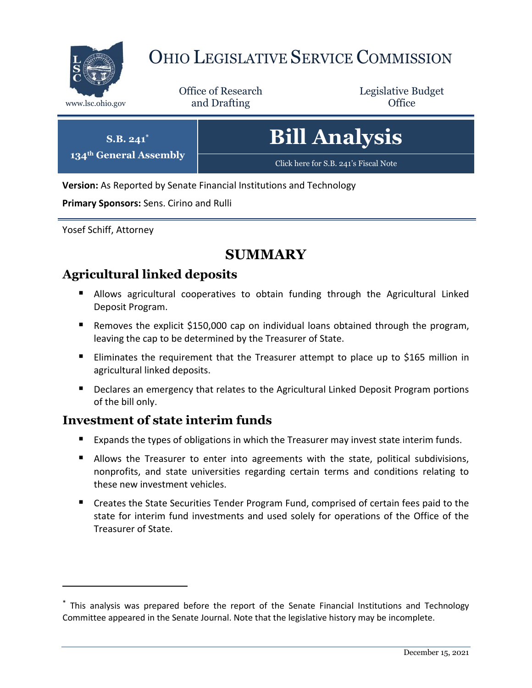

# OHIO LEGISLATIVE SERVICE COMMISSION

Office of Research www.lsc.ohio.gov **and Drafting Office** 

Legislative Budget

| $S.B. 241^*$           | <b>Bill Analysis</b>                  |
|------------------------|---------------------------------------|
| 134th General Assembly | Click here for S.B. 241's Fiscal Note |

**Version:** As Reported by Senate Financial Institutions and Technology

**Primary Sponsors:** Sens. Cirino and Rulli

Yosef Schiff, Attorney

 $\overline{a}$ 

## **SUMMARY**

## **Agricultural linked deposits**

- Allows agricultural cooperatives to obtain funding through the Agricultural Linked Deposit Program.
- Removes the explicit \$150,000 cap on individual loans obtained through the program, leaving the cap to be determined by the Treasurer of State.
- **Eliminates the requirement that the Treasurer attempt to place up to \$165 million in** agricultural linked deposits.
- Declares an emergency that relates to the Agricultural Linked Deposit Program portions of the bill only.

## **Investment of state interim funds**

- Expands the types of obligations in which the Treasurer may invest state interim funds.
- **Allows the Treasurer to enter into agreements with the state, political subdivisions,** nonprofits, and state universities regarding certain terms and conditions relating to these new investment vehicles.
- **E** Creates the State Securities Tender Program Fund, comprised of certain fees paid to the state for interim fund investments and used solely for operations of the Office of the Treasurer of State.

<sup>\*</sup> This analysis was prepared before the report of the Senate Financial Institutions and Technology Committee appeared in the Senate Journal. Note that the legislative history may be incomplete.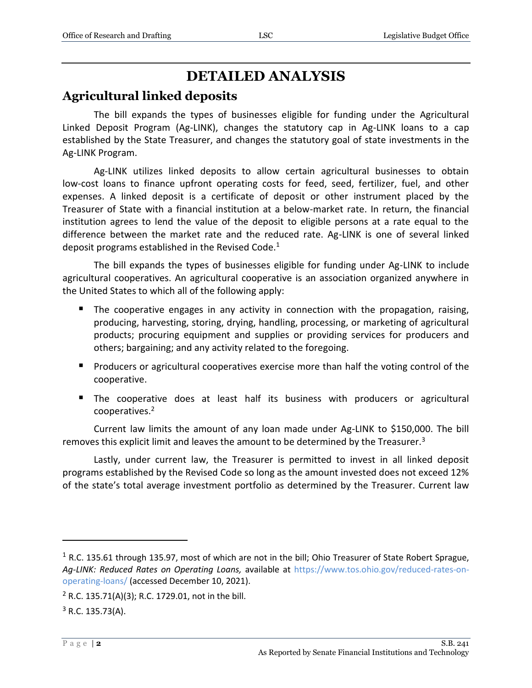# **DETAILED ANALYSIS**

## **Agricultural linked deposits**

The bill expands the types of businesses eligible for funding under the Agricultural Linked Deposit Program (Ag-LINK), changes the statutory cap in Ag-LINK loans to a cap established by the State Treasurer, and changes the statutory goal of state investments in the Ag-LINK Program.

Ag-LINK utilizes linked deposits to allow certain agricultural businesses to obtain low-cost loans to finance upfront operating costs for feed, seed, fertilizer, fuel, and other expenses. A linked deposit is a certificate of deposit or other instrument placed by the Treasurer of State with a financial institution at a below-market rate. In return, the financial institution agrees to lend the value of the deposit to eligible persons at a rate equal to the difference between the market rate and the reduced rate. Ag-LINK is one of several linked deposit programs established in the Revised Code.<sup>1</sup>

The bill expands the types of businesses eligible for funding under Ag-LINK to include agricultural cooperatives. An agricultural cooperative is an association organized anywhere in the United States to which all of the following apply:

- The cooperative engages in any activity in connection with the propagation, raising, producing, harvesting, storing, drying, handling, processing, or marketing of agricultural products; procuring equipment and supplies or providing services for producers and others; bargaining; and any activity related to the foregoing.
- **Producers or agricultural cooperatives exercise more than half the voting control of the** cooperative.
- **The cooperative does at least half its business with producers or agricultural** cooperatives.<sup>2</sup>

Current law limits the amount of any loan made under Ag-LINK to \$150,000. The bill removes this explicit limit and leaves the amount to be determined by the Treasurer.<sup>3</sup>

Lastly, under current law, the Treasurer is permitted to invest in all linked deposit programs established by the Revised Code so long as the amount invested does not exceed 12% of the state's total average investment portfolio as determined by the Treasurer. Current law

 $\overline{a}$ 

 $1$  R.C. 135.61 through 135.97, most of which are not in the bill; Ohio Treasurer of State Robert Sprague, *Ag-LINK: Reduced Rates on Operating Loans,* available at [https://www.tos.ohio.gov/reduced-rates-on](https://www.tos.ohio.gov/reduced-rates-on-operating-loans/)[operating-loans/](https://www.tos.ohio.gov/reduced-rates-on-operating-loans/) (accessed December 10, 2021).

<sup>&</sup>lt;sup>2</sup> R.C. 135.71(A)(3); R.C. 1729.01, not in the bill.

 $3$  R.C. 135.73(A).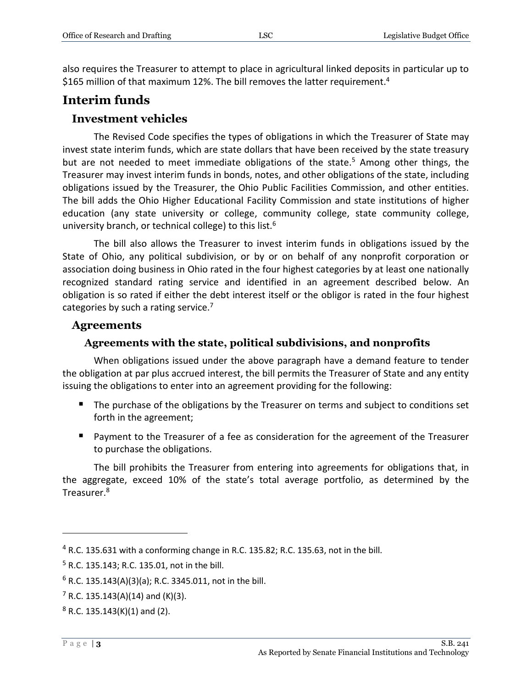also requires the Treasurer to attempt to place in agricultural linked deposits in particular up to \$165 million of that maximum 12%. The bill removes the latter requirement.<sup>4</sup>

## **Interim funds**

#### **Investment vehicles**

The Revised Code specifies the types of obligations in which the Treasurer of State may invest state interim funds, which are state dollars that have been received by the state treasury but are not needed to meet immediate obligations of the state.<sup>5</sup> Among other things, the Treasurer may invest interim funds in bonds, notes, and other obligations of the state, including obligations issued by the Treasurer, the Ohio Public Facilities Commission, and other entities. The bill adds the Ohio Higher Educational Facility Commission and state institutions of higher education (any state university or college, community college, state community college, university branch, or technical college) to this list.<sup>6</sup>

The bill also allows the Treasurer to invest interim funds in obligations issued by the State of Ohio, any political subdivision, or by or on behalf of any nonprofit corporation or association doing business in Ohio rated in the four highest categories by at least one nationally recognized standard rating service and identified in an agreement described below. An obligation is so rated if either the debt interest itself or the obligor is rated in the four highest categories by such a rating service.<sup>7</sup>

#### **Agreements**

#### **Agreements with the state, political subdivisions, and nonprofits**

When obligations issued under the above paragraph have a demand feature to tender the obligation at par plus accrued interest, the bill permits the Treasurer of State and any entity issuing the obligations to enter into an agreement providing for the following:

- The purchase of the obligations by the Treasurer on terms and subject to conditions set forth in the agreement;
- Payment to the Treasurer of a fee as consideration for the agreement of the Treasurer to purchase the obligations.

The bill prohibits the Treasurer from entering into agreements for obligations that, in the aggregate, exceed 10% of the state's total average portfolio, as determined by the Treasurer.<sup>8</sup>

 $\overline{a}$ 

<sup>4</sup> R.C. 135.631 with a conforming change in R.C. 135.82; R.C. 135.63, not in the bill.

<sup>5</sup> R.C. 135.143; R.C. 135.01, not in the bill.

 $6$  R.C. 135.143(A)(3)(a); R.C. 3345.011, not in the bill.

 $7$  R.C. 135.143(A)(14) and (K)(3).

 $8$  R.C. 135.143(K)(1) and (2).